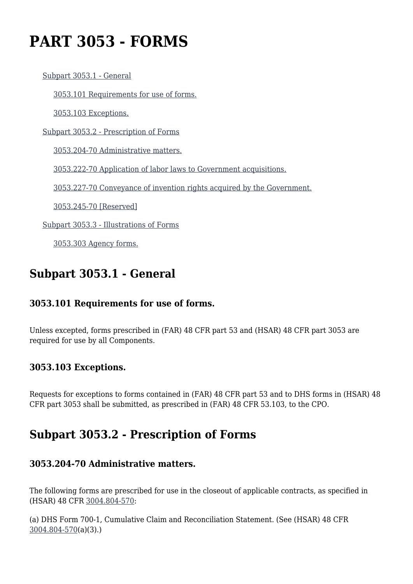# **PART 3053 - FORMS**

[Subpart 3053.1 - General](https://origin-www.acquisition.gov/%5Brp:link:hsar-part-3053%5D#Subpart_3053_1_T48_70215521)

[3053.101 Requirements for use of forms.](https://origin-www.acquisition.gov/%5Brp:link:hsar-part-3053%5D#Section_3053_101_T48_7021552111)

[3053.103 Exceptions.](https://origin-www.acquisition.gov/%5Brp:link:hsar-part-3053%5D#Section_3053_103_T48_7021552112)

[Subpart 3053.2 - Prescription of Forms](https://origin-www.acquisition.gov/%5Brp:link:hsar-part-3053%5D#Subpart_3053_2_T48_70215522)

[3053.204-70 Administrative matters.](https://origin-www.acquisition.gov/%5Brp:link:hsar-part-3053%5D#Section_3053_204_70_T48_7021552211)

[3053.222-70 Application of labor laws to Government acquisitions.](https://origin-www.acquisition.gov/%5Brp:link:hsar-part-3053%5D#Section_3053_222_70_T48_7021552212)

[3053.227-70 Conveyance of invention rights acquired by the Government.](https://origin-www.acquisition.gov/%5Brp:link:hsar-part-3053%5D#Section_3053_227_70_T48_7021552213)

[3053.245-70 \[Reserved\]](https://origin-www.acquisition.gov/%5Brp:link:hsar-part-3053%5D#Section_3053_245_70_T48_7021552214)

[Subpart 3053.3 - Illustrations of Forms](https://origin-www.acquisition.gov/%5Brp:link:hsar-part-3053%5D#Subpart_3053_3_T48_70215523)

[3053.303 Agency forms.](https://origin-www.acquisition.gov/%5Brp:link:hsar-part-3053%5D#Section_3053_303_T48_7021552311)

# **Subpart 3053.1 - General**

#### **3053.101 Requirements for use of forms.**

Unless excepted, forms prescribed in (FAR) 48 CFR part 53 and (HSAR) 48 CFR part 3053 are required for use by all Components.

#### **3053.103 Exceptions.**

Requests for exceptions to forms contained in (FAR) 48 CFR part 53 and to DHS forms in (HSAR) 48 CFR part 3053 shall be submitted, as prescribed in (FAR) 48 CFR 53.103, to the CPO.

# **Subpart 3053.2 - Prescription of Forms**

#### **3053.204-70 Administrative matters.**

The following forms are prescribed for use in the closeout of applicable contracts, as specified in (HSAR) 48 CFR [3004.804-570:](https://origin-www.acquisition.gov/%5Brp:link:hsar-part-3004%5D#Section_3004_804_570_T48_70285313)

(a) DHS Form 700-1, Cumulative Claim and Reconciliation Statement. (See (HSAR) 48 CFR [3004.804-570\(](https://origin-www.acquisition.gov/%5Brp:link:hsar-part-3004%5D#Section_3004_804_570_T48_70285313)a)(3).)